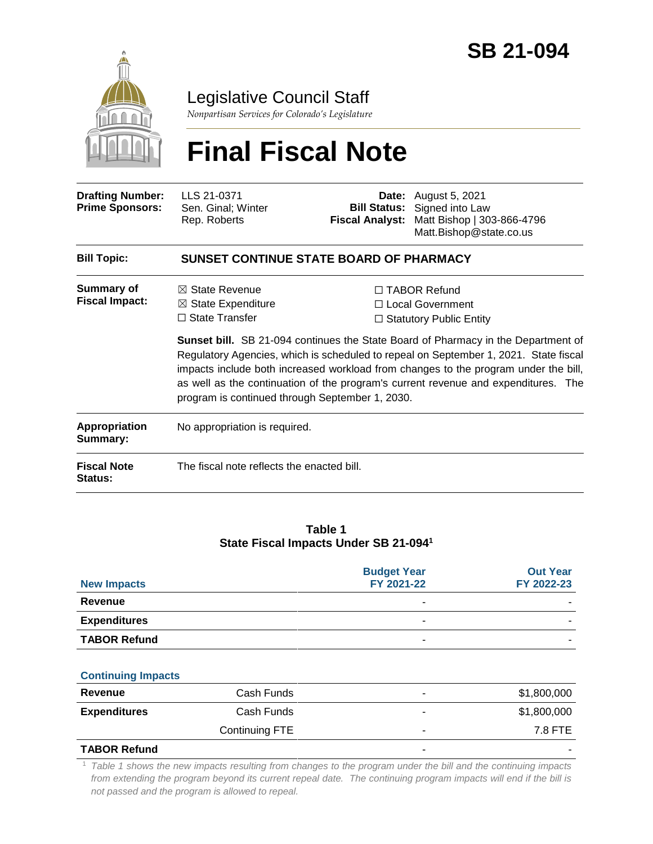

## Legislative Council Staff

*Nonpartisan Services for Colorado's Legislature*

# **Final Fiscal Note**

| <b>Drafting Number:</b><br><b>Prime Sponsors:</b> | LLS 21-0371<br>Sen. Ginal; Winter<br>Rep. Roberts                                                                                                                                                                                                                                                                                                                                                                | Date: | August 5, 2021<br><b>Bill Status:</b> Signed into Law<br>Fiscal Analyst: Matt Bishop   303-866-4796<br>Matt.Bishop@state.co.us |  |  |  |
|---------------------------------------------------|------------------------------------------------------------------------------------------------------------------------------------------------------------------------------------------------------------------------------------------------------------------------------------------------------------------------------------------------------------------------------------------------------------------|-------|--------------------------------------------------------------------------------------------------------------------------------|--|--|--|
| <b>Bill Topic:</b>                                | <b>SUNSET CONTINUE STATE BOARD OF PHARMACY</b>                                                                                                                                                                                                                                                                                                                                                                   |       |                                                                                                                                |  |  |  |
| Summary of<br><b>Fiscal Impact:</b>               | $\boxtimes$ State Revenue<br>$\boxtimes$ State Expenditure<br>$\Box$ State Transfer                                                                                                                                                                                                                                                                                                                              |       | $\Box$ TABOR Refund<br>$\Box$ Local Government<br>$\Box$ Statutory Public Entity                                               |  |  |  |
|                                                   | <b>Sunset bill.</b> SB 21-094 continues the State Board of Pharmacy in the Department of<br>Regulatory Agencies, which is scheduled to repeal on September 1, 2021. State fiscal<br>impacts include both increased workload from changes to the program under the bill,<br>as well as the continuation of the program's current revenue and expenditures. The<br>program is continued through September 1, 2030. |       |                                                                                                                                |  |  |  |
| Appropriation                                     | No appropriation is required.                                                                                                                                                                                                                                                                                                                                                                                    |       |                                                                                                                                |  |  |  |

| <b>Fiscal Note</b><br><b>Status:</b> | The fiscal note reflects the enacted bill. |  |
|--------------------------------------|--------------------------------------------|--|

#### **Table 1 State Fiscal Impacts Under SB 21-094<sup>1</sup>**

| <b>New Impacts</b>  | <b>Budget Year</b><br>FY 2021-22 | <b>Out Year</b><br>FY 2022-23 |
|---------------------|----------------------------------|-------------------------------|
| Revenue             | -                                |                               |
| <b>Expenditures</b> | -                                |                               |
| <b>TABOR Refund</b> | -                                |                               |

#### **Continuing Impacts**

**Summary:**

| Revenue             | Cash Funds     |   | \$1,800,000              |
|---------------------|----------------|---|--------------------------|
| <b>Expenditures</b> | Cash Funds     |   | \$1,800,000              |
|                     | Continuing FTE | ۰ | 7.8 FTE                  |
| <b>TABOR Refund</b> |                |   | $\overline{\phantom{a}}$ |

<sup>1</sup> *Table 1 shows the new impacts resulting from changes to the program under the bill and the continuing impacts from extending the program beyond its current repeal date. The continuing program impacts will end if the bill is not passed and the program is allowed to repeal.*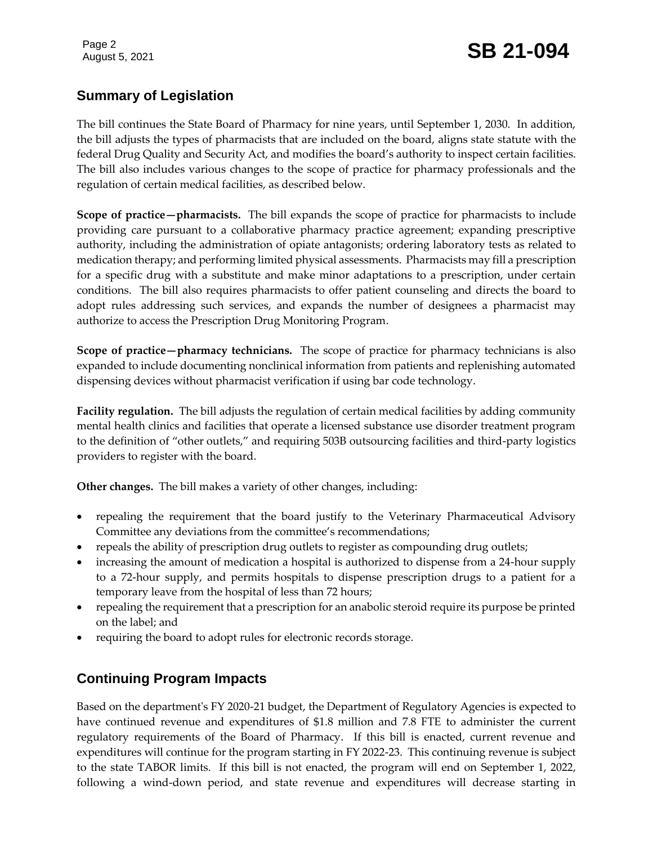Page 2

# Page 2<br>August 5, 2021 **SB 21-094**

#### **Summary of Legislation**

The bill continues the State Board of Pharmacy for nine years, until September 1, 2030. In addition, the bill adjusts the types of pharmacists that are included on the board, aligns state statute with the federal Drug Quality and Security Act, and modifies the board's authority to inspect certain facilities. The bill also includes various changes to the scope of practice for pharmacy professionals and the regulation of certain medical facilities, as described below.

**Scope of practice—pharmacists.** The bill expands the scope of practice for pharmacists to include providing care pursuant to a collaborative pharmacy practice agreement; expanding prescriptive authority, including the administration of opiate antagonists; ordering laboratory tests as related to medication therapy; and performing limited physical assessments. Pharmacists may fill a prescription for a specific drug with a substitute and make minor adaptations to a prescription, under certain conditions. The bill also requires pharmacists to offer patient counseling and directs the board to adopt rules addressing such services, and expands the number of designees a pharmacist may authorize to access the Prescription Drug Monitoring Program.

**Scope of practice—pharmacy technicians.** The scope of practice for pharmacy technicians is also expanded to include documenting nonclinical information from patients and replenishing automated dispensing devices without pharmacist verification if using bar code technology.

**Facility regulation.** The bill adjusts the regulation of certain medical facilities by adding community mental health clinics and facilities that operate a licensed substance use disorder treatment program to the definition of "other outlets," and requiring 503B outsourcing facilities and third-party logistics providers to register with the board.

**Other changes.** The bill makes a variety of other changes, including:

- repealing the requirement that the board justify to the Veterinary Pharmaceutical Advisory Committee any deviations from the committee's recommendations;
- repeals the ability of prescription drug outlets to register as compounding drug outlets;
- increasing the amount of medication a hospital is authorized to dispense from a 24-hour supply to a 72-hour supply, and permits hospitals to dispense prescription drugs to a patient for a temporary leave from the hospital of less than 72 hours;
- repealing the requirement that a prescription for an anabolic steroid require its purpose be printed on the label; and
- requiring the board to adopt rules for electronic records storage.

### **Continuing Program Impacts**

Based on the department's FY 2020-21 budget, the Department of Regulatory Agencies is expected to have continued revenue and expenditures of \$1.8 million and 7.8 FTE to administer the current regulatory requirements of the Board of Pharmacy. If this bill is enacted, current revenue and expenditures will continue for the program starting in FY 2022-23. This continuing revenue is subject to the state TABOR limits. If this bill is not enacted, the program will end on September 1, 2022, following a wind-down period, and state revenue and expenditures will decrease starting in